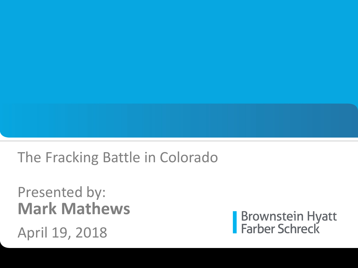#### The Fracking Battle in Colorado

#### Presented by: **Mark Mathews**

April 19, 2018

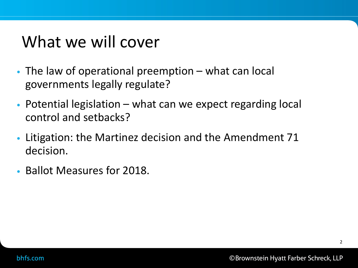# What we will cover

- The law of operational preemption what can local governments legally regulate?
- Potential legislation what can we expect regarding local control and setbacks?
- Litigation: the Martinez decision and the Amendment 71 decision.
- Ballot Measures for 2018.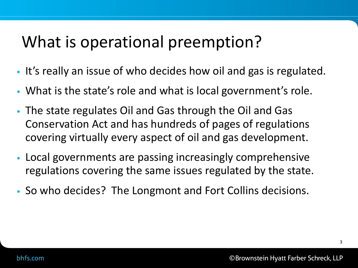# What is operational preemption?

- It's really an issue of who decides how oil and gas is regulated.
- What is the state's role and what is local government's role.
- The state regulates Oil and Gas through the Oil and Gas Conservation Act and has hundreds of pages of regulations covering virtually every aspect of oil and gas development.
- Local governments are passing increasingly comprehensive regulations covering the same issues regulated by the state.
- So who decides? The Longmont and Fort Collins decisions.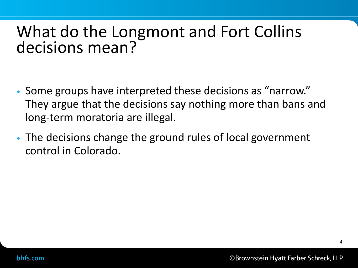#### What do the Longmont and Fort Collins decisions mean?

- Some groups have interpreted these decisions as "narrow." They argue that the decisions say nothing more than bans and long-term moratoria are illegal.
- The decisions change the ground rules of local government control in Colorado.

4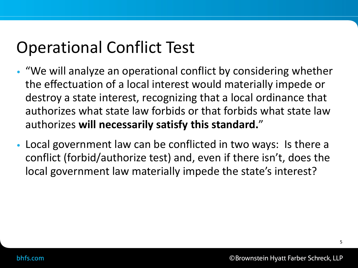# Operational Conflict Test

- "We will analyze an operational conflict by considering whether the effectuation of a local interest would materially impede or destroy a state interest, recognizing that a local ordinance that authorizes what state law forbids or that forbids what state law authorizes **will necessarily satisfy this standard.**"
- Local government law can be conflicted in two ways: Is there a conflict (forbid/authorize test) and, even if there isn't, does the local government law materially impede the state's interest?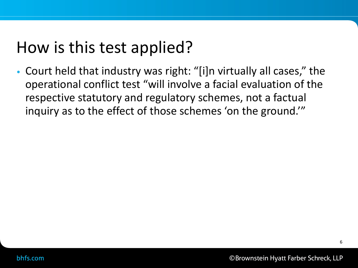# How is this test applied?

• Court held that industry was right: "[i]n virtually all cases," the operational conflict test "will involve a facial evaluation of the respective statutory and regulatory schemes, not a factual inquiry as to the effect of those schemes 'on the ground.'"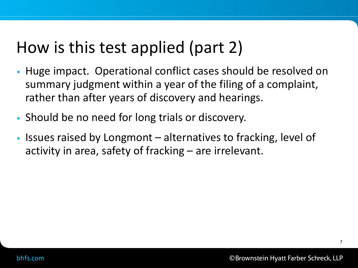# How is this test applied (part 2)

- Huge impact. Operational conflict cases should be resolved on summary judgment within a year of the filing of a complaint, rather than after years of discovery and hearings.
- Should be no need for long trials or discovery.
- Issues raised by Longmont alternatives to fracking, level of activity in area, safety of fracking – are irrelevant.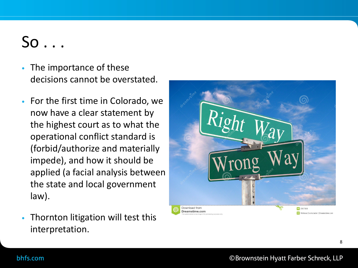- So . . .<br>The importance of these decisions cannot be overstated.
- For the first time in Colorado, we now have a clear statement by the highest court as to what the operational conflict standard is (forbid/authorize and materially impede), and how it should be applied (a facial analysis between the state and local government law).
- Thornton litigation will test this interpretation.



8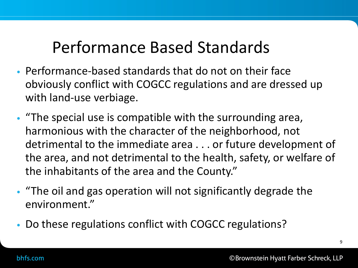## Performance Based Standards

- Performance-based standards that do not on their face obviously conflict with COGCC regulations and are dressed up with land-use verbiage.
- "The special use is compatible with the surrounding area, harmonious with the character of the neighborhood, not detrimental to the immediate area . . . or future development of the area, and not detrimental to the health, safety, or welfare of the inhabitants of the area and the County."
- "The oil and gas operation will not significantly degrade the environment."
- Do these regulations conflict with COGCC regulations?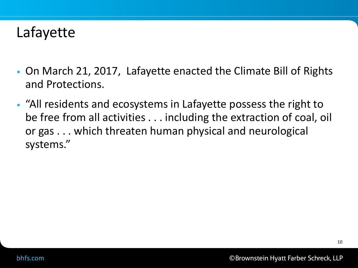#### Lafayette

- On March 21, 2017, Lafayette enacted the Climate Bill of Rights and Protections.
- "All residents and ecosystems in Lafayette possess the right to be free from all activities . . . including the extraction of coal, oil or gas . . . which threaten human physical and neurological systems."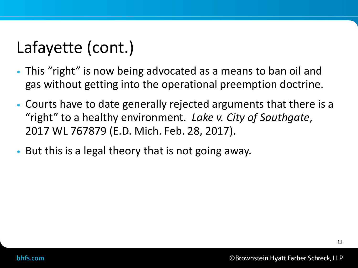# Lafayette (cont.)

- This "right" is now being advocated as a means to ban oil and gas without getting into the operational preemption doctrine.
- Courts have to date generally rejected arguments that there is a "right" to a healthy environment. *Lake v. City of Southgate*, 2017 WL 767879 (E.D. Mich. Feb. 28, 2017).
- But this is a legal theory that is not going away.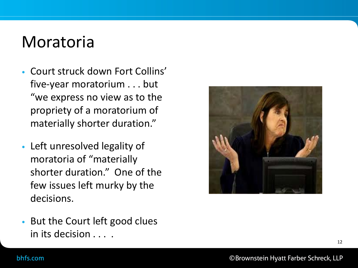### Moratoria

- Court struck down Fort Collins' five -year moratorium . . . but "we express no view as to the propriety of a moratorium of materially shorter duration."
- Left unresolved legality of moratoria of "materially shorter duration." One of the few issues left murky by the decisions.



• But the Court left good clues in its decision . . . .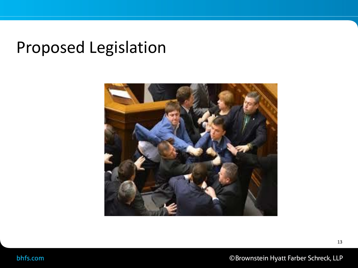## Proposed Legislation



©Brownstein Hyatt Farber Schreck, LLP

13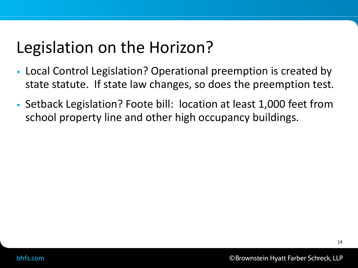# Legislation on the Horizon?

- Local Control Legislation? Operational preemption is created by state statute. If state law changes, so does the preemption test.
- Setback Legislation? Foote bill: location at least 1,000 feet from school property line and other high occupancy buildings.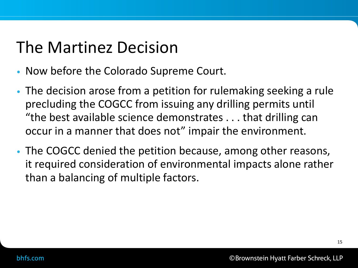# The Martinez Decision

- Now before the Colorado Supreme Court.
- The decision arose from a petition for rulemaking seeking a rule precluding the COGCC from issuing any drilling permits until "the best available science demonstrates . . . that drilling can occur in a manner that does not" impair the environment.
- The COGCC denied the petition because, among other reasons, it required consideration of environmental impacts alone rather than a balancing of multiple factors.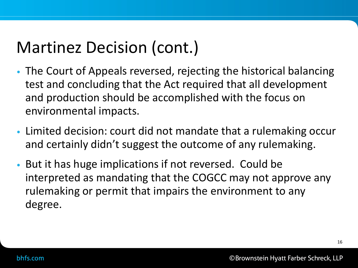# Martinez Decision (cont.)

- The Court of Appeals reversed, rejecting the historical balancing test and concluding that the Act required that all development and production should be accomplished with the focus on environmental impacts.
- Limited decision: court did not mandate that a rulemaking occur and certainly didn't suggest the outcome of any rulemaking.
- But it has huge implications if not reversed. Could be interpreted as mandating that the COGCC may not approve any rulemaking or permit that impairs the environment to any degree.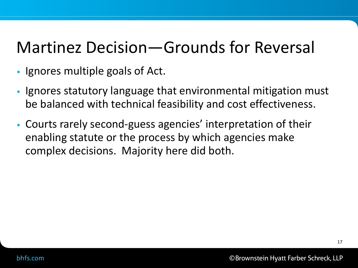## Martinez Decision—Grounds for Reversal

- Ignores multiple goals of Act.
- Ignores statutory language that environmental mitigation must be balanced with technical feasibility and cost effectiveness.
- Courts rarely second-guess agencies' interpretation of their enabling statute or the process by which agencies make complex decisions. Majority here did both.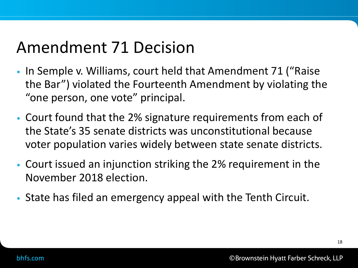## Amendment 71 Decision

- In Semple v. Williams, court held that Amendment 71 ("Raise the Bar") violated the Fourteenth Amendment by violating the "one person, one vote" principal.
- Court found that the 2% signature requirements from each of the State's 35 senate districts was unconstitutional because voter population varies widely between state senate districts.
- Court issued an injunction striking the 2% requirement in the November 2018 election.
- State has filed an emergency appeal with the Tenth Circuit.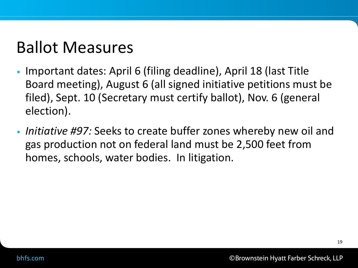## Ballot Measures

- Important dates: April 6 (filing deadline), April 18 (last Title Board meeting), August 6 (all signed initiative petitions must be filed), Sept. 10 (Secretary must certify ballot), Nov. 6 (general election).
- *Initiative #97:* Seeks to create buffer zones whereby new oil and gas production not on federal land must be 2,500 feet from homes, schools, water bodies. In litigation.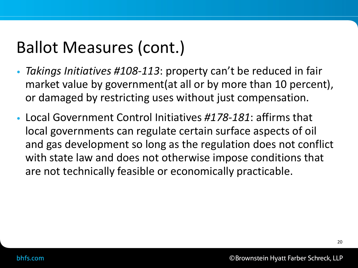# Ballot Measures (cont.)

- *Takings Initiatives #108-113*: property can't be reduced in fair market value by government(at all or by more than 10 percent), or damaged by restricting uses without just compensation.
- Local Government Control Initiatives *#178-181*: affirms that local governments can regulate certain surface aspects of oil and gas development so long as the regulation does not conflict with state law and does not otherwise impose conditions that are not technically feasible or economically practicable.